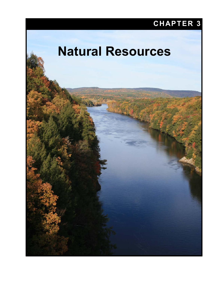# **CHAPTER 3**

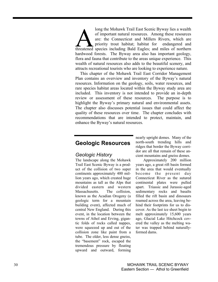long the Mohawk Trail East Scenic Byway lies a wealth of important natural resources. Among these resources are: the Connecticut and Millers Rivers, which are priority trout habitat; habitat for endangered and long the Mohawk Trail East Scenic Byway lies a wealth<br>of important natural resources. Among these resources<br>are: the Connecticut and Millers Rivers, which are<br>priority trout habitat; habitat for endangered and<br>threatened s hardwood forests. The Byway area also has important geology, flora and fauna that contribute to the areas unique experience. This wealth of natural resources also adds to the beautiful scenery, and attracts recreational tourists who are looking to experience nature.

This chapter of the Mohawk Trail East Corridor Management Plan contains an overview and inventory of the Byway's natural resources. Information on the geology, soils, water resources, and rare species habitat areas located within the Byway study area are included. This inventory is not intended to provide an in-depth review or assessment of these resources. The purpose is to highlight the Byway's primary natural and environmental assets. The chapter also discusses potential issues that could affect the quality of these resources over time. The chapter concludes with recommendations that are intended to protect, maintain, and enhance the Byway's natural resources.

## **Geologic Resources**

#### *Geologic History*

The landscape along the Mohawk Trail East Scenic Byway is a product of the collision of two super continents approximately 400 million years ago, which created huge mountains as tall as the Alps that divided eastern and western Massachusetts. The collision, known as the Acadian Orogeny (a geologic term for a mountain building event), affected much of central New England. During this event, in the location between the towns of Athol and Erving, gigantic folds of rocks called nappes, were squeezed up and out of the collision zone like paint from a tube. The older, less dense gneiss, the "basement" rock, escaped the tremendous pressure by floating upward and outward, forming

nearly upright domes. Many of the north-south trending hills and ridges that border the Byway corridor are all that remain of these ancient mountains and gneiss domes.

Approximately 200 million years ago, a great rift basin formed in the area that would eventually become the present day Connecticut River as the sutured continental plates were pulled apart. Triassic and Jurassic-aged sedimentary rocks and basalts filled the rift basin and dinosaurs roamed across the area, leaving behind their footprints for us to discover. As the last ice sheet begin to melt approximately 15,600 years ago, Glacial Lake Hitchcock covered the valley as the melting water was trapped behind naturallyformed dams.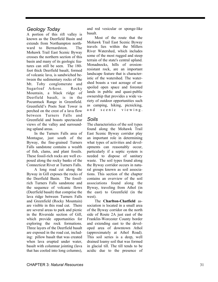#### *Geology Today*

A portion of this rift valley is known as the Deerfield Basin and extends from Northampton northward to Bernardston. The Mohawk Trail East Scenic Byway crosses the northern section of this basin and many of its geologic features can still be seen. The 180 foot thick Deerfield basalt, formed of volcanic lava, is sandwiched between the sedimentary rocks of the Mt. Toby conglomerate and Sugarloaf Arkose. Rocky Mountain, a black ridge of Deerfield basalt, is in the Pocumtuck Range in Greenfield. Greenfield's Poets Seat Tower is perched on the crest of a lava flow between Turners Falls and Greenfield and boasts spectacular views of the valley and surrounding upland areas.

In the Turners Falls area of Montague, just south of the Byway, the fine-grained Turners Falls sandstone contains a wealth of fish, clams, and plant fossils. These fossil-rich rocks are well exposed along the rocky banks of the Connecticut River at Turners Falls.

A long road cut along the Byway in Gill exposes the rocks of the Deerfield Basin. The fossilrich Turners Falls sandstone and the sequence of volcanic flows (Deerfield basalt) that comprise the lava ridge between Turners Falls and Greenfield (Rocky Mountain) are visible in this road cut. There are several areas to park and picnic in the Riverside section of Gill, which provide opportunities for exploring the rock formations. Three layers of the Deerfield basalt are exposed in the road cut, including: pillow basalt that was created when lava erupted under water, basalt with columnar jointing (lava that has cooled into long columns),

and red vesicular or sponge-like basalt.

Most of the route that the Mohawk Trail East Scenic Byway travels lies within the Millers River Watershed, which includes some of the most rugged and steep terrain of the state's central upland. Monadnocks, hills of erosionresistant rock, are an important landscape feature that is characteristic of the watershed. The watershed boasts a vast acreage of unspoiled open space and forested lands in public and quasi-public ownership that provides a wide variety of outdoor opportunities such as camping, hiking, picnicking, and scenic viewing.

#### *Soils*

The characteristics of the soil types found along the Mohawk Trail East Scenic Byway corridor play an important role in determining what types of activities and developments can reasonably occur, particularly if a septic system is needed to dispose of sanitary waste. The soil types found along the Byway corridor occurs in natural groups known as soil associations. This section of the chapter contains an overview of the soil associations found along the Byway, traveling from Athol (in the east) to Greenfield (in the west).

The **Charlton-Chatfield** association is located in a small area of the Byway corridor on the north side of Route 2A just east of the Franklin-Worcester County border and extending east to the developed area of downtown Athol (approximately at Athol Road). This soil series is a deep, well drained loamy soil that was formed in glacial till. The till tends to be acidic due to the presence of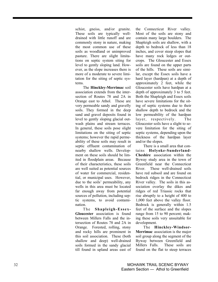schist, gneiss, and/or granite. These soils are typically welldrained with little runoff and are commonly stony in nature, making the most common use of these soils as woodland or unimproved pasture. There are slight limitations on septic system siting for level to gently sloping land. However, as the slope increases there is more of a moderate to severe limitation for the siting of septic systems.

The **Hinckley-Merrimac** soil association extends from the intersection of Routes 78 and 2A in Orange east to Athol. These are very permeable sandy and gravelly soils. They formed in the deep sand and gravel deposits found in level to gently sloping glacial outwash plains and stream terraces. In general, these soils pose slight limitations on the siting of septic systems; however the rapid permeability of these soils may result in septic effluent contamination of nearby shallow wells. Development on these soils should be limited in floodplain areas. Because of their characteristics, these soils are well suited as potential sources of water for commercial, residential, or municipal uses. However, due to the soils' permeability, any wells in this area must be located far enough away from potential sources of pollution, including septic systems, to avoid contamination.

The **Shapleigh-Essex-Gloucester** association is found between Millers Falls and the intersection of Routes 78 and 2A in Orange. Forested, rolling, stony and rocky hills are prominent in this soil association. These (both shallow and deep) well-drained soils formed in the sandy glacial till found in upland areas east of the Connecticut River valley. Most of the soils are stony and contain many large boulders. The Shapleigh soils are shallow, with a depth to bedrock of less than 18 inches, and cover steep slopes that have many rock ledges or outcrops. The Gloucester and Essex soils are found on the upper parts of the hills. These soils are similar, except the Essex soils have a hard layer (hardpan) at a depth of approximately 2 feet, while the Gloucester soils have hardpan at a depth of approximately 3 to 5 feet. Both the Shapleigh and Essex soils have severe limitations for the siting of septic systems due to their shallow depth to bedrock and the low permeability of the hardpan layer, respectively. The Gloucester soils have a slight to severe limitation for the siting of septic systems, depending upon the thickness of the hardpan layer and/or the slopes.

There is a small area that contains **Holyoke-Sunderland-Cheshire** association within the Byway study area in the town of Greenfield near the Connecticut River. These well-drained soils have red subsoil and are found on bedrock ridges in the Connecticut River valley. The soils in this association overlay the dikes and ridges of red Triassic rocks that rise abruptly to a height of 400 to 1,000 feet above the valley floor. Bedrock is generally within 1.5 feet of the surface and the slopes range from 15 to 90 percent; making these soils very unsuitable for development.

The **Hinckley-Windsor-Merrimac** association is the major soil group along the segment of the Byway between Greenfield and Millers Falls. These soils are found on the flat to steep terraces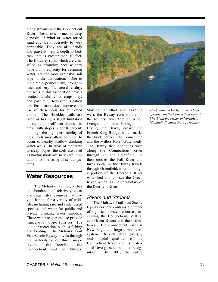along streams and the Connecticut River. These soils formed in deep deposits of wind or water-sorted sand and are moderately to very permeable. They are also sandy and gravelly with a depth to bedrock that is greater than 10 feet. The Hinckley soils, which are classified as droughty because they have a low capacity for retaining water, are the most extensive soil type in the association. Due to their rapid permeability, droughtiness, and very low natural fertility, the soils in this association have a limited suitability for crops, hay, and pasture. However, irrigation and fertilization does improve the use of these soils for cultivated crops. The Hinckley soils are rated as having a slight limitation on septic tank effluent disposal in areas with slopes under 8 percent; although the high permeability of these soils may allow pollution to occur of nearby shallow drinking water wells. In areas of moderate to steep slopes, the soils are rated as having moderate to severe limitations for the siting of septic systems.

## **Water Resources**

The Mohawk Trail region has an abundance of relatively clean and clear water resources that provide habitat for a variety of wildlife, including rare and endangered species, and water for public and private drinking water supplies. These water resources also provide numerous opportunities for outdoor recreation, such as fishing and boating. The Mohawk Trail East Scenic Byway travels through the watersheds of three major rivers: the Deerfield, the Connecticut, and the Millers.



Starting in Athol and traveling west, the Byway runs parallel to the Millers River through Athol, Orange, and into Erving. In Erving, the Byway crosses the French King Bridge, which marks the divide between the Connecticut and the Millers River Watersheds. The Byway then continues west along the Connecticut River through Gill and Greenfield. It then crosses the Fall River and turns south. As the Byway travels through Greenfield, it runs through a portion of the Deerfield River watershed and crosses the Green River, which is a major tributary of the Deerfield River.

#### *Rivers and Streams*

The Mohawk Trail East Scenic Byway corridor contains a number of significant water resources, including the Connecticut, Millers, and Green Rivers and their tributaries. The Connecticut River is New England's largest river ecosystem. The rich natural diversity and special qualities of the Connecticut River and its watershed have garnered national recognition. In 1991, the entire *The Quinnetucket II, a tourist boat operated on the Connecticut River by FirstLight the owner of Northfield Mountain Pumped Storage facility.*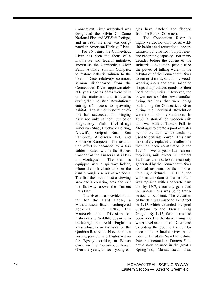Connecticut River watershed was designated the Silvio O. Conte National Fish and Wildlife Refuge, and in 1998 the river was designated an American Heritage River.

For 30 years, the Connecticut River has been the focus of a multi-state and federal initiative, known as the Connecticut River Basin Atlantic Salmon Compact, to restore Atlantic salmon to the river. Once relatively common, salmon disappeared from the Connecticut River approximately 200 years ago as dams were built on the mainstem and tributaries during the "Industrial Revolution," cutting off access to spawning habitat. The salmon restoration effort has succeeded in bringing back not only salmon, but other migratory fish including: American Shad, Blueback Herring, Alewife, Striped Bass, Sea Lamprey, American Eel, and Shortnose Sturgeon. The restoration effort is enhanced by a fish ladder located within the Byway Corridor at the Turners Falls Dam in Montague. The dam is equipped with a spillway ladder, where the fish climb up over the dam through a series of 42 pools. The fish then swim past a viewing area and a counting area and exit the fish-way above the Turners Falls Dam.

The river also provides habitat for the Bald Eagle, a Massachusetts-listed endangered species. In  $1982$ , the Massachusetts Division of Fisheries and Wildlife began reintroducing the Bald Eagle to Massachusetts in the area of the Quabbin Reservoir. Now there is a nesting pair of Bald Eagles within the Byway corridor, at Barton Cove on the Connecticut River. Over the years, thirteen young eagles have hatched and fledged from the Barton Cove nest.

The Connecticut River is highly valued not only for its wildlife habitat and recreational opportunities, but also for its hydroelectric generating capacity. For many decades before the advent of the Industrial Revolution, people used the power of falling water in the tributaries of the Connecticut River to run grist mills, saw mills, woodworking shops and small machine shops that produced goods for their local communities. However, the power needs of the new manufacturing facilities that were being built along the Connecticut River during the Industrial Revolution were enormous in comparison. In 1866, a stone-filled wooden crib dam was built at Turners Falls in Montague to create a pool of water behind the dam which could be used to generate power. This dam most likely replaced a smaller one that had been constructed in the 1790's. Twenty years later, an enterprising mill owner in Turners Falls was the first to sell electricity generated by the Connecticut River to local residents for their household light fixtures. In 1905, the wooden crib dam at Turners Falls was replaced with a concrete dam and by 1907, electricity generated in Turners Falls was being transmitted to Amherst. The elevation of the dam was raised to 172.3 feet in 1913 which extended the pool upstream to the French King Gorge. By 1915, flashboards had been added to the dam raising the water level an additional 7 feet and extending the pool to the confluence of the Ashuelot River in the town of Hinsdale, New Hampshire. Power generated in Turners Falls could now be used in the greater Springfield, Massachusetts area.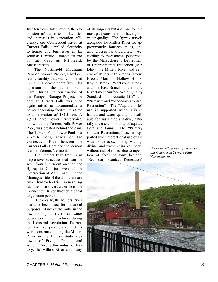Just ten years later, due to the expansion of transmission facilities and increases in generation efficiency, the Connecticut River at Turners Falls supplied electricity to homes and businesses as far south as Hartford, Connecticut and as far west as Pittsfield, Massachusetts.

The Northfield Mountain Pumped Storage Project, a hydroelectric facility that was completed in 1970, is located about five miles upstream of the Turners Falls Dam. During the construction of the Pumped Storage Project, the dam at Turners Falls was once again raised to accommodate a power generating facility, this time to an elevation of 185.5 feet. A 2,500 acre lower "reservoir", known as the Turners Falls Power Pool, was created behind the dam. The Turners Falls Power Pool is a 22-mile long reach of the Connecticut River between the Turners Falls Dam and the Vernon Dam in Vernon, Vermont.

The Turners Falls Dam is an impressive structure that can be seen from a turn-out area on the Byway in Gill just west of the intersection of Main Road. On the Montague side of the dam there are two hydroelectric generating facilities that divert water from the Connecticut River through a canal to generate power.

Historically, the Millers River has also been used for industrial purposes. Many of the mills in the towns along the river used water power to run their factories during the Industrial Revolution. To capture the river power, several dams were constructed along the Millers River in the Byway study area towns of Erving, Orange, and Athol. Despite this industrial history, the Millers River and many

of its larger tributaries are for the most part considered to have good water quality. The Byway travels alongside the Millers River for approximately fourteen miles, and also crosses its tributaries. According to assessments performed by the Massachusetts Department of Environmental Protection (MA DEP), the Millers River and several of its larger tributaries (Lyons Brook, Mormon Hollow Brook, Keyup Brook, Whetstone Brook, and the East Branch of the Tully River) meet Surface Water Quality Standards for "Aquatic Life" and "Primary" and "Secondary Contact Recreation". The "Aquatic Life" use is supported when suitable habitat and water quality is available for sustaining a native, naturally diverse community of aquatic flora and fauna. The "Primary Contact Recreational" use is supported when recreational use of the water, such as swimming, wading, diving, and water skiing can occur without risk of illness due to ingestion of fecal coliform bacteria. "Secondary Contact Recreation"

*The Connecticut River power canal and factories in Turners Falls Massachusetts.* 

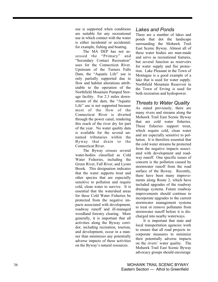use is supported when conditions are suitable for any recreational use in which contact with the water is either incidental or accidental; for example, fishing and boating.

The MA DEP has not assessed the "Primary" and "Secondary Contact Recreation" uses for the Connecticut River. Upstream of the Turners Falls Dam, the "Aquatic Life" use is only partially supported due to flow and habitat alterations attributable to the operation of the Northfield Mountain Pumped Storage facility. For 2.3 miles downstream of the dam, the "Aquatic Life" use is not supported because most of the flow of the Connecticut River is diverted through the power canal, rendering this reach of the river dry for part of the year. No water quality data is available for the several unnamed tributaries within the Byway that drain to the Connecticut River.

The Byway crosses several water-bodies classified as Cold Water Fisheries, including the Green River, Fall River, and Lyons Brook. This designation indicates that the water supports trout and other species that are especially sensitive to pollution and require cold, clean water to survive. It is essential that the watershed areas for these Cold Water Fisheries be protected from the negative impacts associated with development, roadway runoff and ill-managed woodland forestry clearing. More generally, it is important that all activities along the Byway corridor, including recreation, tourism, and development, occur in a manner than minimizes any potentially adverse impacts of these activities on the Byway's natural resources.

#### *Lakes and Ponds*

There are a number of lakes and ponds that dot the landscape surrounding the Mohawk Trail East Scenic Byway. Almost all of these water bodies are man-made and serve as recreational features, but several function as reservoirs for water supply and fire protection. Lake Pleasant in the Town of Montague is a good example of a lake that is used for water supply. Northfield Mountain Reservoir in the Town of Erving is used for both recreation and hydropower.

#### *Threats to Water Quality*

As stated previously, there are many rivers and streams along the Mohawk Trail East Scenic Byway that are cold water fisheries. These fisheries support trout, which require cold, clean water and are especially sensitive to pollution. It is therefore essential that the cold water streams be protected from the negative impacts associated with development and roadway runoff. One specific issues of concern is the pollution caused by stormwater runoff from the road surface of the Byway. Recently, there have been many improvements along Route 2, which have included upgrades of the roadway drainage systems. Future roadway improvements should continue to incorporate upgrades to the current stormwater management systems to treat or remove pollutants from stormwater runoff before it is discharged into nearby waterways.

It is important that state and local transportation agencies work to ensure that all road projects incorporate measures to minimize their potentially adverse impacts on the rivers' water quality. The Mohawk Trail East Scenic Byway advocacy groups should encourage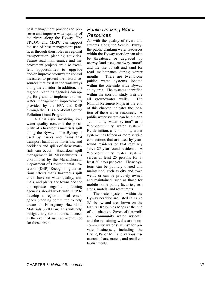best management practices to preserve and improve water quality of the rivers along the Byway. The FRCOG and MRPC can support the use of best management practices through their roles in regional transportation planning activities. Future road maintenance and improvement projects are also excellent opportunities to upgrade and/or improve stormwater control measures to protect the natural resources that exist in the waterways along the corridor. In addition, the regional planning agencies can apply for grants to implement stormwater management improvements provided by the EPA and DEP through the 319s Non-Point Source Pollution Grant Program.

A final issue involving river water quality concerns the possibility of a hazardous materials spill along the Byway. The Byway is used by trucks and trains that transport hazardous materials, and accidents and spills of these materials can occur. Hazardous spill management in Massachusetts is coordinated by the Massachusetts Department of Environmental Protection (DEP). Recognizing the serious effects that a hazardous spill could have on water quality, animals, and plants, the towns and the appropriate regional planning agencies should work with DEP to develop a regional local emergency planning committee to help create an Emergency Hazardous Materials Spill Plan. This will help mitigate any serious consequences in the event of such an occurrence for those rivers.

#### *Public Drinking Water Resources*

As with the quality of rivers and streams along the Scenic Byway, the public drinking water resources within the Byway corridor can also be threatened or degraded by nearby land uses, roadway runoff, and the use of salt and sand for road maintenance during winter months. There are twenty-one public water systems located within the one-mile wide Byway study area. The systems identified within the corridor study area are all groundwater wells. The Natural Resource Maps at the end of this chapter indicates the location of these water resources. A public water system can be either a "community water system" or a "non-community water system." By definition, a "community water system" has fifteen or more service connections that are used by yearround residents or that regularly serve 25 year-round residents. A "non-community water system" serves at least 25 persons for at least 60 days per year. These systems can be publicly owned and maintained, such as city and town wells, or can be privately owned and maintained, such as those for mobile home parks, factories, rest stops, motels, and restaurants.

The water systems within the Byway corridor are listed in Table 3.1 below and are shown on the Natural Resources Maps at the end of this chapter. Seven of the wells are "community water systems" and the remaining wells are "noncommunity water systems" for private businesses, including the Erving Paper Mill and various restaurants, bars, motels, and retail establishments.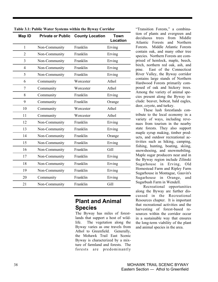| Map ID         |               | <b>Private or Public County Location</b> | <b>Town</b><br>Location |  |  |
|----------------|---------------|------------------------------------------|-------------------------|--|--|
| $\mathbf{1}$   | Non-Community | Franklin                                 | Erving                  |  |  |
| $\overline{2}$ | Non-Community | Franklin                                 | Erving                  |  |  |
| 3              | Non-Community | Franklin                                 | Erving                  |  |  |
| $\overline{4}$ | Non-Community | Franklin                                 | Erving                  |  |  |
| 5              | Non-Community | Franklin                                 | Erving                  |  |  |
| 6              | Community     | Worcester                                | Athol                   |  |  |
| 7              | Community     | Worcester                                | Athol                   |  |  |
| 8              | Community     | Franklin                                 | Erving                  |  |  |
| 9              | Community     | Franklin                                 | Orange                  |  |  |
| 10             | Community     | Worcester                                | Athol                   |  |  |
| 11             | Community     | Worcester                                | Athol                   |  |  |
| 12             | Non-Community | Franklin                                 | Erving                  |  |  |
| 13             | Non-Community | Franklin                                 | Erving                  |  |  |
| 14             | Non-Community | Franklin                                 | Orange                  |  |  |
| 15             | Non-Community | Franklin                                 | Erving                  |  |  |
| 16             | Non-Community | Franklin                                 | Gill                    |  |  |
| 17             | Non-Community | Franklin                                 | Erving                  |  |  |
| 18             | Non-Community | Franklin                                 | Erving                  |  |  |
| 19             | Non-Community | Franklin                                 | Erving                  |  |  |
| 20             | Community     | Franklin                                 | Erving                  |  |  |
| 21             | Non-Community | Franklin                                 | Gill                    |  |  |

|  |  |  |  |  |  |  |  |  |  |  | Table 3.1: Public Water Systems within the Byway Corridor |  |
|--|--|--|--|--|--|--|--|--|--|--|-----------------------------------------------------------|--|
|  |  |  |  |  |  |  |  |  |  |  |                                                           |  |

## **Plant and Animal Species**

The Byway has miles of forestlands that support a host of wildlife. The vegetation along the Byway varies as one travels from Athol to Greenfield. Generally, the Mohawk Trail East Scenic Byway is characterized by a mixture of farmland and forests. The forests are predominantly

"Transition Forests," a combination of plants and evergreen and deciduous trees from Middle Atlantic Forests and Northern Forests. Middle Atlantic Forests contain oak, and many other tree species. Northern Forests are comprised of hemlock, maple, beech, birch, northern red oak, ash, and pine. East of the Connecticut River Valley, the Byway corridor contains large stands of Northern Hardwood Forests primarily composed of oak and hickory trees. Among the variety of animal species present along the Byway include: beaver, bobcat, bald eagles, deer, coyote, and turkey.

These lush forestlands contribute to the local economy in a variety of ways, including revenues from tourism in the nearby state forests. They also support maple syrup making, timber products, and outdoor recreational activities such as hiking, camping, fishing, hunting, boating, skiing, snowshoeing, and snowmobiling. Maple sugar producers near and in the Byway region include Zilinski Sugarhouse in Erving, Old Homestead Farm and Ripley Farm Sugarhouse in Montague, Gauvin's Sugarhouse in Orange, and Sugarbush Farm in Wendell.

Recreational opportunities along the Byway are further discussed in the Recreational Resources chapter. It is important that recreational activities and the harvesting of forest-based resources within the corridor occur in a sustainable way that ensures the long-term viability of the plant and animal species in the area.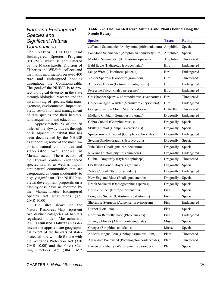#### *Rare and Endangered Species and Significant Natural Communities*

The Natural Heritage and Endangered Species Program (NHESP), which is administered by the Massachusetts Division of Fisheries and Wildlife, collects and maintains information on over 400 rare and endangered species throughout the Commonwealth. The goal of the NHESP is to protect biological diversity in the state through biological research and the inventorying of species, data management, environmental impact review, restoration and management of rare species and their habitats, land acquisition, and education.

Approximately 23 of the 28 miles of the Byway travels through or is adjacent to habitat that has been documented by the NHESP as supporting some of the most important natural communities and state-listed rare species in Massachusetts. These sections of the Byway contain endangered species habitat, as well as important natural communities that are categorized as being moderately to highly significant. The NHESP reviews development proposals on a case-by-case basis as required by the Massachusetts Endangered Species Act Regulations (321 CMR 10.00).

The sites shown on the Natural Resources Maps represent two distinct categories of habitats regulated under Massachusetts law. **Estimated Habitat** areas delineate the approximate geographical extent of the habitats of stateprotected rare wildlife for use with the Wetlands Protection Act (310 CMR 10.00) and the Forest Cutting Practices Act (304 CMR

#### **Table 3.2: Documented Rare Animals and Plants Found along the Scenic Byway**

| <b>Species</b>                                  | <b>Taxon</b>     | <b>Rating</b> |
|-------------------------------------------------|------------------|---------------|
| Jefferson Salamander (Ambystoma jeffersonianum) | Amphibia         | Special       |
| Four-toed Salamander (Amphibian hemidactylium)  | Amphibia         | Special       |
| Marbled Salamander (Ambystoma opacum)           | Amphibia         | Threatened    |
| Bald Eagle (Haliaeetus leucocephalus)           | Bird             | Endangered    |
| Sedge Wren (Cistothorus platenis)               | <b>Bird</b>      | Endangered    |
| Vesper Sparrow (Pooecetes gramineus)            | <b>Bird</b>      | Threatened    |
| American Bittern (Botunarus lentiginosus)       | Bird             | Endangered    |
| Peregrine Falcon (Falco peregrines)             | Bird             | Endangered    |
| Grasshopper Sparrow (Ammodramus savannarum)     | Bird             | Threatened    |
| Golden-winged Warbler (Vermivora chrysoptera)   | Bird             | Endangered    |
| Orange Swallow Moth (Moth Rhodoecia             | <b>Butterfly</b> | Threatened    |
| Midland Clubtail (Gomphus fraternus)            | Dragonfly        | Endangered    |
| Cobra Cubtail (Gomphus vastus)                  | Dragonfly        | Special       |
| Skillet Cubtail (Gomphus ventricosus)           | Dragonfly        | Special       |
| Spine-crowned Cubtail (Gomphus abbreviates)     | Dragonfly        | Endangered    |
| Stygian Shadowdragon (Neurocordulia             | Dragonfly        | Special       |
| Tule Bluet (Enallagma carunculatum)             | Dragonfly        | Special       |
| Riverine Cubtail (Stylurus amnicola)            | Dragonfly        | Endangered    |
| Clubtail Dragonfly (Stylurus spiniceps)         | Dragonfly        | Threatened    |
| Ocellated Darner (Boyeria grafiana)             | Dragonfly        | Special       |
| Zebra Cubtail (Stylurus scudderi)               | Dragonfly        | Endangered    |
| New England Bluet (Enallagma laterale)          | Dragonfly        | Special       |
| Brook Snaketail (Ophiogomphus asperses)         | Dragonfly        | Special       |
| Brindle Shiner (Notropis bifrenatus)            | Fish             | Special       |
| Longnose Sucker (Catostomus catostomus)         | Fish             | Special       |
| Shortnose Sturgeon (Acipenser brevirostrum)     | Fish             | Endangered    |
| Burbot (Lota lota)                              | Fish             | Special       |
| Northern Redbelly Dace (Phoxinus eos)           | Fish             | Endangered    |
| Triangle Floater (Alasmidonta undulata)         | Mussel           | Special       |
| Creeper (Strophitus undulatus)                  | Mussel           | Special       |
| Adder's-tongue Fern (Ophioglossum pusillum)     | Plant            | Threatened    |
| Algae-like Pondweed (Potamogeton confervoides)  | Plant            | Threatened    |
| Barren Strawberry (Waldsteinia fragarioides)    | Plant            | Special       |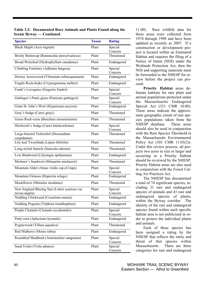**Table 3.2: Documented Rare Animals and Plants Found along the Scenic Byway — Continued**

| <b>Species</b>                                                   | <b>Taxon</b> | <b>Rating</b>         |
|------------------------------------------------------------------|--------------|-----------------------|
| Black Maple (Acer nigrum)                                        | Plant        | Special<br>Concern    |
| Bristly Buttercup (Ranunculus pensylvanicus)                     | Plant        | Threatened            |
| Broad Waterleaf (Hydrophyllum canadense)                         | Plant        | Endangered            |
| Climbing Fumitory (Adlumia fungosa)                              | Plant        | Special<br>Concern    |
| Downy Arrowwood (Viburnum rafinesquianum)                        | Plant        | Endangered            |
| Fragile Rock-brake (Cryptogramma stelleri)                       | Plant        | Endangered            |
| Frank's Lovegrass (Eragrstis frankii)                            | Plant        | Special<br>Concern    |
| Gattinger's Panic-grass (Panicum gattingeri)                     | Plant        | Special<br>Concern    |
| Giant St. John's Wort (Hypericum ascyron)                        | Plant        | Endangered            |
| Gray's Sedge (Carex grayi)                                       | Plant        | Threatened            |
| Green Rock-cress (Boechera missouriensis)                        | Plant        | Threatened            |
| Hitchcock's Sedge (Carex hitchcockiana)                          | Plant        | Special               |
| Large-bracted Ticktrefoil (Desmodium<br>cuspidatum)              | Plant        | Concern<br>Threatened |
| Lily-leaf Twayblade (Lipais liliifolia)                          | Plant        | Threatened            |
| Long-styled Sanicle (Sanicula odorata)                           | Plant        | Threatened            |
| Low Bindweed (Calystegia spithamaea)                             | Plant        | Endangered            |
| Michaux's Sandwort (Minuartia michauxii)                         | Plant        | Threatened            |
| Mountain Alder (Alnus viridis ssp.cCrispa)                       | Plant        | Special<br>Concern    |
| Mountain Firmoss (Huperzia selago)                               | Plant        | Endangered            |
| Muskflower (Mimulus moshatus)                                    | Plant        | Threatened            |
| New England Blazing Star (Liatris scariosa var.<br>novae-anglia) | Plant        | Special<br>Concern    |
| Nodding Chickweed (Cerastium nutans)                             | Plant        | Endangered            |
| Nodding Pogonia (Triphora trianthophora)                         | Plant        | Endangered            |
| Purple Clematis (Clematis occidentalis)                          | Plant        | Special<br>Concern    |
| Putty-root (Aplectrum hyemale)                                   | Plant        | Endangered            |
| Pygmyweed (Tillaea aquatica)                                     | Plant        | Threatened            |
| Red Mulberry (Morus rubra)                                       | Plant        | Endangered            |
| Roundleaf Shadbush (Amelanchier sanguinea)                       | Plant        | Special<br>Concern    |
| Sand Violet (Viola adunca)                                       | Plant        | Special<br>Concern    |

11.00). Rare wildlife data for these areas were collected from 1974 through 1998 and have been updated as recently as 2007. If a construction or development project is located within an Estimated Habitat and requires the filing of a Notice of Intent (NOI) under the Wetlands Protection Act, then the NOI and supporting materials must be forwarded to the NHESP for review before the project can proceed.

**Priority Habitat** areas delineate habitats for rare plant and animal populations protected under the Massachusetts Endangered Special Act (321 CMR 10.00). These areas indicate the approximate geographic extent of rare species populations taken from the NHESP database. These areas should also be used in conjunction with the Rare Species Threshold in the Massachusetts Environmental Policy Act (301 CMR 11.03(2)). Under this review process, all projects two acres in size or larger and occurring in a Priority Habitat should be reviewed by the NHESP. Priority Habitat areas are also used in conjunction with the Forest Cutting Act Practices Act.

The NHESP has documented a total of 74 significant species, including 31 rare and endangered species of animals and 43 rare and endangered species of plants, within the Byway corridor. The identity of the rare and endangered species found within each specific habitat area is not publicized in order to protect the individual plants and animals.

Each of these species has been assigned a rating by the NHESP that reflects the rarity and threat of that species within Massachusetts. There are three categories for rare and endangered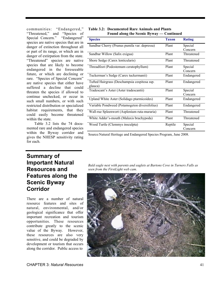communities: "Endangered," "Threatened," and "Species of Special Concern." "Endangered" species are native species that are in danger of extinction throughout all or part of its range, or which are in danger of extirpation from the state. "Threatened" species are native species that are likely to become endangered in the foreseeable future, or which are declining or rare. "Species of Special Concern" are native species that either have suffered a decline that could threaten the species if allowed to continue unchecked, or occur in such small numbers, or with such restricted distribution or specialized habitat requirements, that they could easily become threatened within the state.

Table 3.2 lists the 74 documented rare and endangered species within the Byway corridor and gives the NHESP sensitivity rating for each.

#### **Table 3.2: Documented Rare Animals and Plants Found along the Scenic Byway — Continued**

| <b>Species</b>                                | <b>Taxon</b> | <b>Rating</b> |
|-----------------------------------------------|--------------|---------------|
| Sandbar Cherry (Prunus pumila var. depressa)  | Plant        | Special       |
|                                               |              | Concern       |
| Sandbar Willow (Salix exigua)                 | Plant        | Threatened    |
| Shore Sedge (Carex lenticularis)              | Plant        | Threatened    |
| Threadfoot (Podostemum ceratophyllum)         | Plant        | Special       |
|                                               |              | Concern       |
| Tuckerman's Sedge (Carex tuckermanii)         | Plant        | Endangered    |
| Tufted Hairgrass (Deschampsia cespitosa ssp.  | Plant        | Endangered    |
| glauca)                                       |              |               |
| Tradescant's Aster (Aster tradescantii)       | Plant        | Special       |
|                                               |              | Concern       |
| Upland White Aster (Solidago ptarmicoides)    | Plant        | Endangered    |
| Variable Pondweed (Potamogeton diversifolius) | Plant        | Endangered    |
| Wall-rue Spleenwort (Asplenium ruta-muraria)  | Plant        | Threatened    |
| White Adder's-mouth (Malaxis brachypoda)      | Plant        | Threatened    |
| Wood Turtle (Clemmys insculpta)               | Reptile      | Special       |
|                                               |              | Concern       |

Source:Natural Heritage and Endangered Species Program, June 2008.

## **Summary of Important Natural Resources and Features along the Scenic Byway Corridor**

There are a number of natural resource features and sites of natural, environmental, and/or geological significance that offer important recreation and tourism opportunities. These resources contribute greatly to the scenic value of the Byway. However, these resources are also very sensitive, and could be degraded by development or tourism that occurs along the corridor. Public access to

*Bald eagle nest with parents and eaglets at Bartons Cove in Turners Falls as seen from the FirstLight web cam.* 

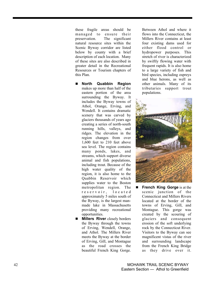these fragile areas should be managed to ensure their preservation. The significant natural resource sites within the Scenic Byway corridor are listed below by county with a brief description of each location. Many of these sites are also described in greater detail in the Recreational Resources or Tourism chapters of this Plan.

- **North Quabbin Region** makes up more than half of the eastern portion of the area surrounding the Byway. It includes the Byway towns of Athol, Orange, Erving, and Wendell. It contains dramatic scenery that was carved by glaciers thousands of years ago creating a series of north-south running hills, valleys, and ridges. The elevation in the region changes from over 1,600 feet to 210 feet above sea level. The region contains many ponds, lakes, and streams, which support diverse animal and fish populations, including trout. Because of the high water quality of the region, it is also home to the Quabbin Reservoir which supplies water to the Boston metropolitan region. The r e s e r v o i r, located approximately 5 miles south of the Byway, is the largest manmade lake in Massachusetts providing many recreational opportunities.
- **Millers River** closely borders the Byway through the towns of Erving, Wendell, Orange, and Athol. The Millers River meets the Byway at the border of Erving, Gill, and Montague as the road crosses the beautiful French King Gorge.

Between Athol and where it flows into the Connecticut, the Millers River contains at least four existing dams used for either flood control or hydropower purposes. This stretch of river is characterized by swiftly flowing water with frequent rapids. It is also home to a large variety of fish and bird species, including ospreys and blue herons, as well as other animals. Many of its tributaries support trout populations.



**French King Gorge** is at the scenic junction of the Connecticut and Millers Rivers located at the border of the towns of Erving, Gill, and Montague. This gorge was created by the scouring of glaciers and consequent erosion of the soft underlying rock by the Connecticut River. Visitors to the Byway can see magnificent vistas of the river and surrounding landscape from the French King Bridge as they drive over it.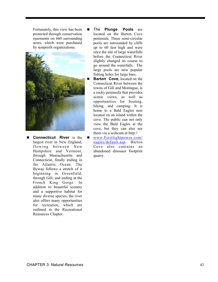Fortunately, this view has been protected through conservation easements on 660 surrounding acres, which were purchased by nonprofit organizations.



**E** Connecticut River is the largest river in New England, flowing between New Hampshire and Vermont, through Massachusetts and Connecticut, finally ending in the Atlantic Ocean. The Byway follows a stretch of it beginning in Greenfield, through Gill, and ending at the French King Gorge. In addition to beautiful scenery and a supportive habitat for many diverse species, the river also offers many opportunities for recreation, which are outlined in the Recreational Resources Chapter.

- **The Plunge Pools** are located on the Barton Cove peninsula. These semi-circular pools are surrounded by cliffs up to 60 feet high and were once the site of large waterfalls before the Connecticut River slightly changed its course to go around the waterfalls. The large pools are now popular fishing holes for large bass.
- **Barton Cove,** located on the Connecticut River between the towns of Gill and Montague, is a rocky peninsula that provides scenic views, as well as opportunities for boating, hiking, and camping. It is home to a Bald Eagles nest located on an island within the cove. The public can not only view the Bald Eagles at the cove, but they can also see them via a webcam at http://
- www.Firstlightpower.com/ eagles/default.asp. Barton Cove also contains an abandoned dinosaur footprint quarry.